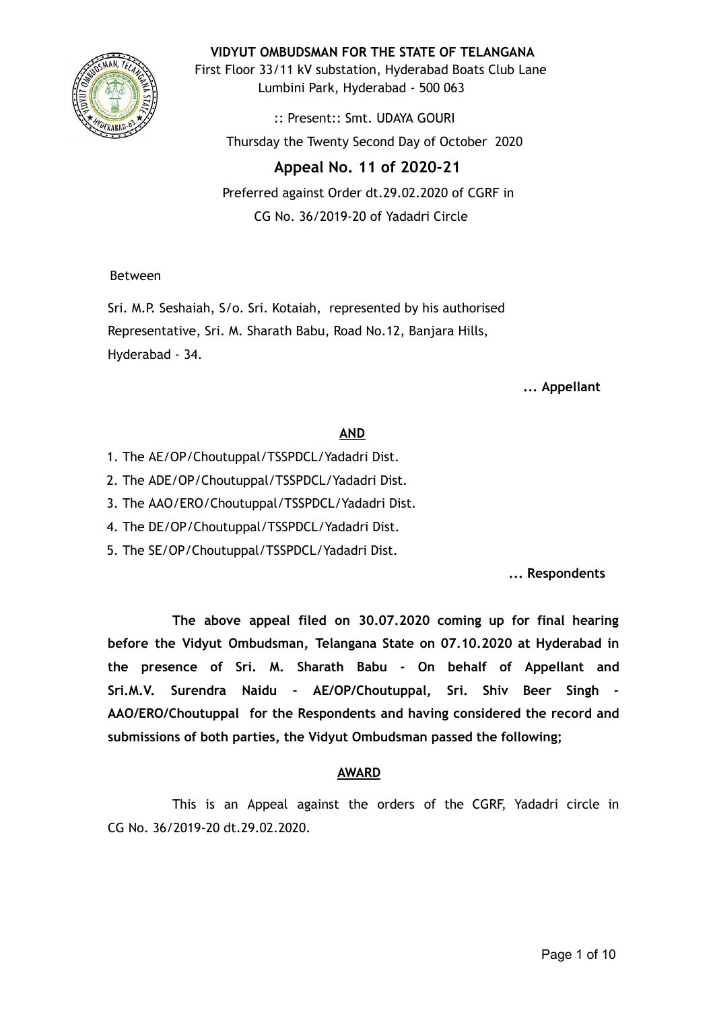

**VIDYUT OMBUDSMAN FOR THE STATE OF TELANGANA**

First Floor 33/11 kV substation, Hyderabad Boats Club Lane Lumbini Park, Hyderabad - 500 063

:: Present:: Smt. UDAYA GOURI Thursday the Twenty Second Day of October 2020

# **Appeal No. 11 of 2020-21**

Preferred against Order dt.29.02.2020 of CGRF in CG No. 36/2019-20 of Yadadri Circle

## Between

Sri. M.P. Seshaiah, S/o. Sri. Kotaiah, represented by his authorised Representative, Sri. M. Sharath Babu, Road No.12, Banjara Hills, Hyderabad - 34.

**... Appellant**

# **AND**

- 1. The AE/OP/Choutuppal/TSSPDCL/Yadadri Dist.
- 2. The ADE/OP/Choutuppal/TSSPDCL/Yadadri Dist.
- 3. The AAO/ERO/Choutuppal/TSSPDCL/Yadadri Dist.
- 4. The DE/OP/Choutuppal/TSSPDCL/Yadadri Dist.
- 5. The SE/OP/Choutuppal/TSSPDCL/Yadadri Dist.

**... Respondents**

**The above appeal filed on 30.07.2020 coming up for final hearing before the Vidyut Ombudsman, Telangana State on 07.10.2020 at Hyderabad in the presence of Sri. M. Sharath Babu - On behalf of Appellant and Sri.M.V. Surendra Naidu - AE/OP/Choutuppal, Sri. Shiv Beer Singh - AAO/ERO/Choutuppal for the Respondents and having considered the record and submissions of both parties, the Vidyut Ombudsman passed the following;**

# **AWARD**

This is an Appeal against the orders of the CGRF, Yadadri circle in CG No. 36/2019-20 dt.29.02.2020.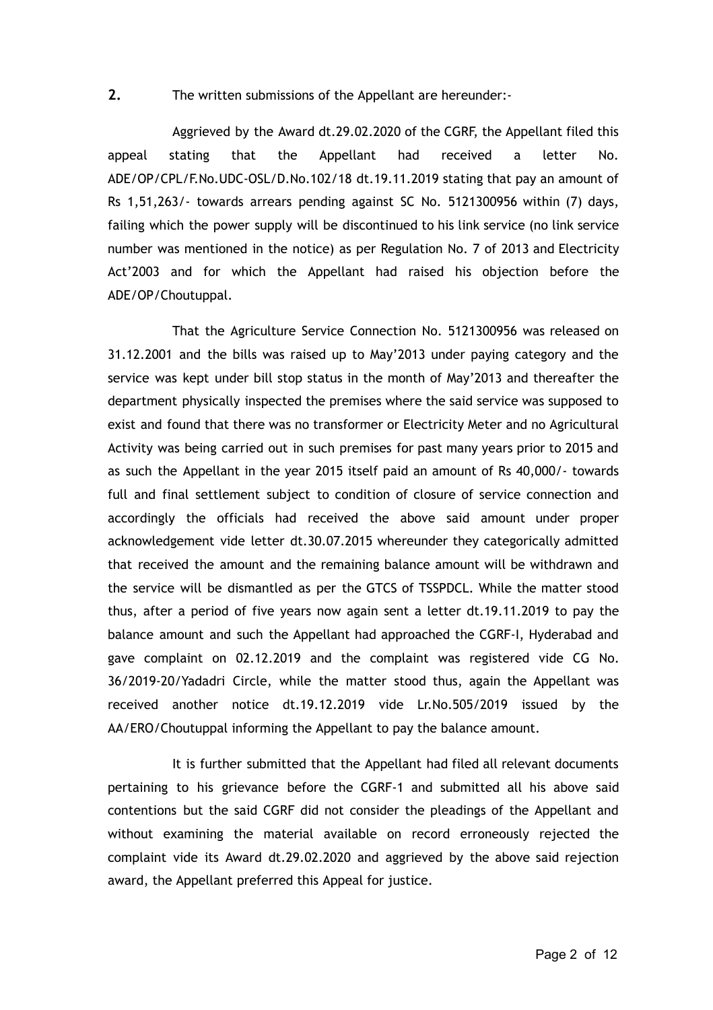### **2.** The written submissions of the Appellant are hereunder:-

Aggrieved by the Award dt.29.02.2020 of the CGRF, the Appellant filed this appeal stating that the Appellant had received a letter No. ADE/OP/CPL/F.No.UDC-OSL/D.No.102/18 dt.19.11.2019 stating that pay an amount of Rs 1,51,263/- towards arrears pending against SC No. 5121300956 within (7) days, failing which the power supply will be discontinued to his link service (no link service number was mentioned in the notice) as per Regulation No. 7 of 2013 and Electricity Act'2003 and for which the Appellant had raised his objection before the ADE/OP/Choutuppal.

That the Agriculture Service Connection No. 5121300956 was released on 31.12.2001 and the bills was raised up to May'2013 under paying category and the service was kept under bill stop status in the month of May'2013 and thereafter the department physically inspected the premises where the said service was supposed to exist and found that there was no transformer or Electricity Meter and no Agricultural Activity was being carried out in such premises for past many years prior to 2015 and as such the Appellant in the year 2015 itself paid an amount of Rs 40,000/- towards full and final settlement subject to condition of closure of service connection and accordingly the officials had received the above said amount under proper acknowledgement vide letter dt.30.07.2015 whereunder they categorically admitted that received the amount and the remaining balance amount will be withdrawn and the service will be dismantled as per the GTCS of TSSPDCL. While the matter stood thus, after a period of five years now again sent a letter dt.19.11.2019 to pay the balance amount and such the Appellant had approached the CGRF-I, Hyderabad and gave complaint on 02.12.2019 and the complaint was registered vide CG No. 36/2019-20/Yadadri Circle, while the matter stood thus, again the Appellant was received another notice dt.19.12.2019 vide Lr.No.505/2019 issued by the AA/ERO/Choutuppal informing the Appellant to pay the balance amount.

It is further submitted that the Appellant had filed all relevant documents pertaining to his grievance before the CGRF-1 and submitted all his above said contentions but the said CGRF did not consider the pleadings of the Appellant and without examining the material available on record erroneously rejected the complaint vide its Award dt.29.02.2020 and aggrieved by the above said rejection award, the Appellant preferred this Appeal for justice.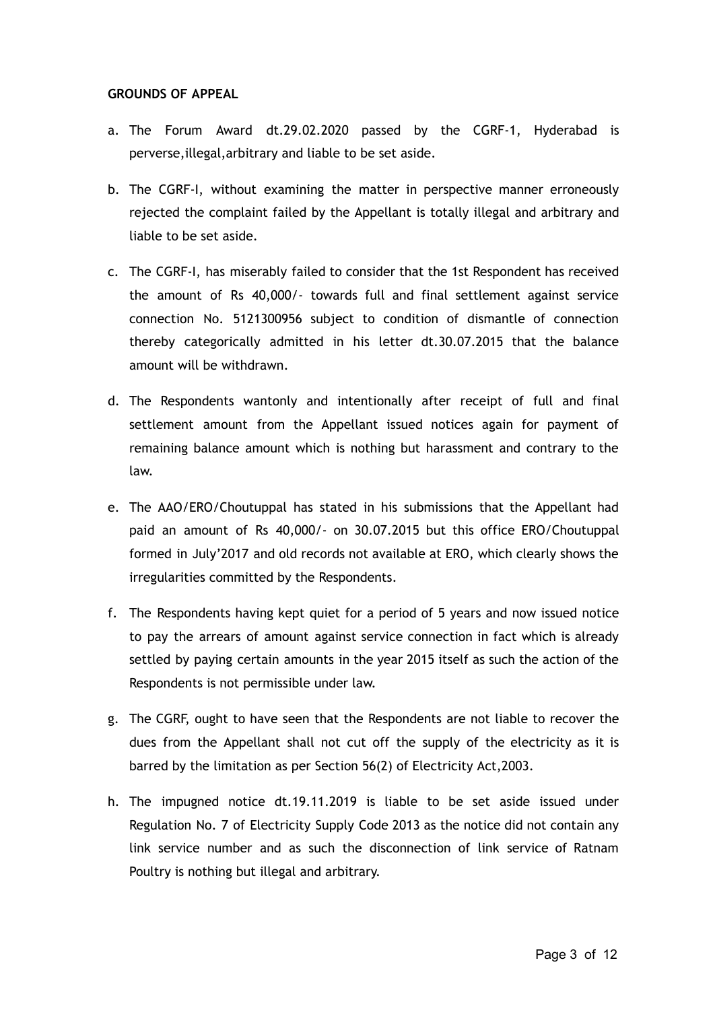### **GROUNDS OF APPEAL**

- a. The Forum Award dt.29.02.2020 passed by the CGRF-1, Hyderabad is perverse,illegal,arbitrary and liable to be set aside.
- b. The CGRF-I, without examining the matter in perspective manner erroneously rejected the complaint failed by the Appellant is totally illegal and arbitrary and liable to be set aside.
- c. The CGRF-I, has miserably failed to consider that the 1st Respondent has received the amount of Rs 40,000/- towards full and final settlement against service connection No. 5121300956 subject to condition of dismantle of connection thereby categorically admitted in his letter dt.30.07.2015 that the balance amount will be withdrawn.
- d. The Respondents wantonly and intentionally after receipt of full and final settlement amount from the Appellant issued notices again for payment of remaining balance amount which is nothing but harassment and contrary to the law.
- e. The AAO/ERO/Choutuppal has stated in his submissions that the Appellant had paid an amount of Rs 40,000/- on 30.07.2015 but this office ERO/Choutuppal formed in July'2017 and old records not available at ERO, which clearly shows the irregularities committed by the Respondents.
- f. The Respondents having kept quiet for a period of 5 years and now issued notice to pay the arrears of amount against service connection in fact which is already settled by paying certain amounts in the year 2015 itself as such the action of the Respondents is not permissible under law.
- g. The CGRF, ought to have seen that the Respondents are not liable to recover the dues from the Appellant shall not cut off the supply of the electricity as it is barred by the limitation as per Section 56(2) of Electricity Act,2003.
- h. The impugned notice dt.19.11.2019 is liable to be set aside issued under Regulation No. 7 of Electricity Supply Code 2013 as the notice did not contain any link service number and as such the disconnection of link service of Ratnam Poultry is nothing but illegal and arbitrary.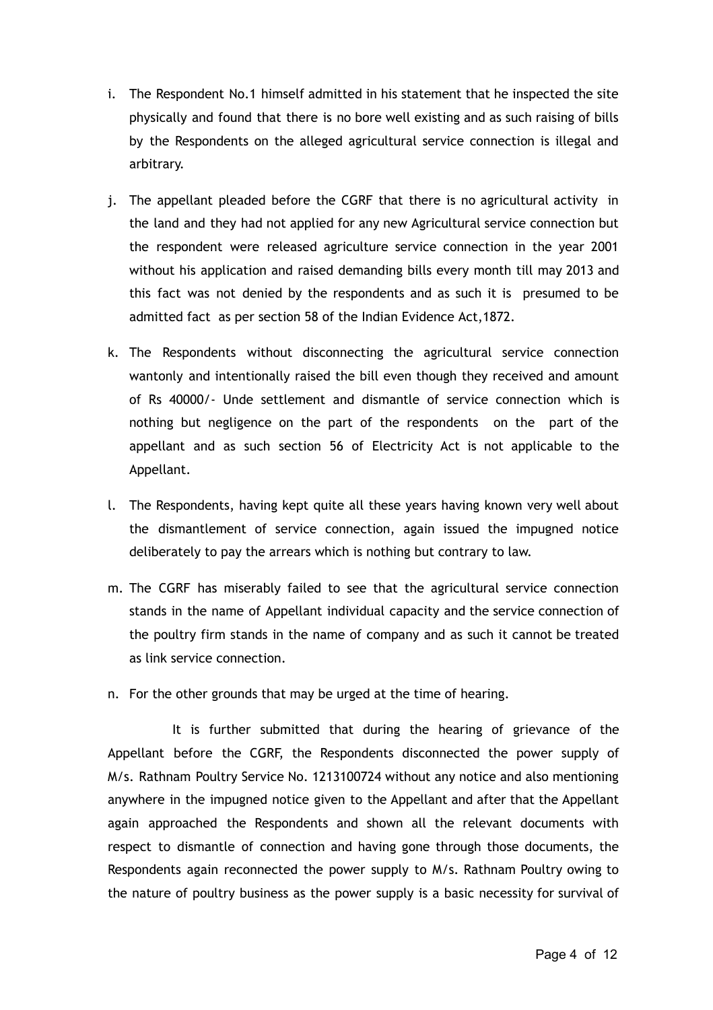- i. The Respondent No.1 himself admitted in his statement that he inspected the site physically and found that there is no bore well existing and as such raising of bills by the Respondents on the alleged agricultural service connection is illegal and arbitrary.
- j. The appellant pleaded before the CGRF that there is no agricultural activity in the land and they had not applied for any new Agricultural service connection but the respondent were released agriculture service connection in the year 2001 without his application and raised demanding bills every month till may 2013 and this fact was not denied by the respondents and as such it is presumed to be admitted fact as per section 58 of the Indian Evidence Act,1872.
- k. The Respondents without disconnecting the agricultural service connection wantonly and intentionally raised the bill even though they received and amount of Rs 40000/- Unde settlement and dismantle of service connection which is nothing but negligence on the part of the respondents on the part of the appellant and as such section 56 of Electricity Act is not applicable to the Appellant.
- l. The Respondents, having kept quite all these years having known very well about the dismantlement of service connection, again issued the impugned notice deliberately to pay the arrears which is nothing but contrary to law.
- m. The CGRF has miserably failed to see that the agricultural service connection stands in the name of Appellant individual capacity and the service connection of the poultry firm stands in the name of company and as such it cannot be treated as link service connection.
- n. For the other grounds that may be urged at the time of hearing.

It is further submitted that during the hearing of grievance of the Appellant before the CGRF, the Respondents disconnected the power supply of M/s. Rathnam Poultry Service No. 1213100724 without any notice and also mentioning anywhere in the impugned notice given to the Appellant and after that the Appellant again approached the Respondents and shown all the relevant documents with respect to dismantle of connection and having gone through those documents, the Respondents again reconnected the power supply to M/s. Rathnam Poultry owing to the nature of poultry business as the power supply is a basic necessity for survival of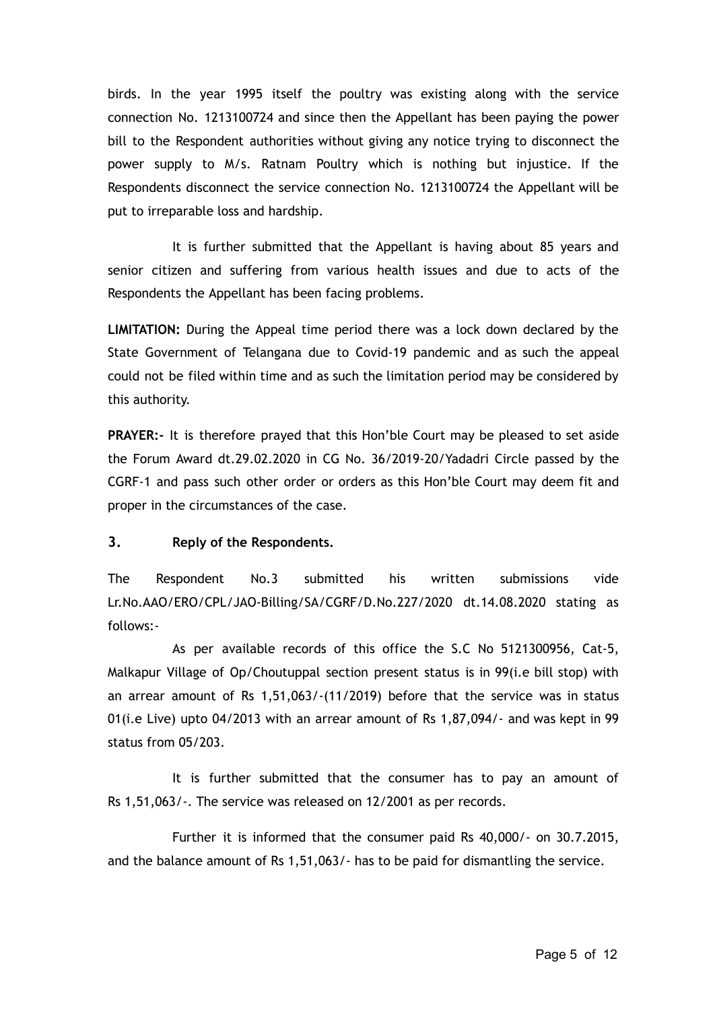birds. In the year 1995 itself the poultry was existing along with the service connection No. 1213100724 and since then the Appellant has been paying the power bill to the Respondent authorities without giving any notice trying to disconnect the power supply to M/s. Ratnam Poultry which is nothing but injustice. If the Respondents disconnect the service connection No. 1213100724 the Appellant will be put to irreparable loss and hardship.

It is further submitted that the Appellant is having about 85 years and senior citizen and suffering from various health issues and due to acts of the Respondents the Appellant has been facing problems.

**LIMITATION:** During the Appeal time period there was a lock down declared by the State Government of Telangana due to Covid-19 pandemic and as such the appeal could not be filed within time and as such the limitation period may be considered by this authority.

**PRAYER:-** It is therefore prayed that this Hon'ble Court may be pleased to set aside the Forum Award dt.29.02.2020 in CG No. 36/2019-20/Yadadri Circle passed by the CGRF-1 and pass such other order or orders as this Hon'ble Court may deem fit and proper in the circumstances of the case.

### **3. Reply of the Respondents.**

The Respondent No.3 submitted his written submissions vide Lr.No.AAO/ERO/CPL/JAO-Billing/SA/CGRF/D.No.227/2020 dt.14.08.2020 stating as follows:-

As per available records of this office the S.C No 5121300956, Cat-5, Malkapur Village of Op/Choutuppal section present status is in 99(i.e bill stop) with an arrear amount of Rs 1,51,063/-(11/2019) before that the service was in status 01(i.e Live) upto 04/2013 with an arrear amount of Rs 1,87,094/- and was kept in 99 status from 05/203.

It is further submitted that the consumer has to pay an amount of Rs 1,51,063/-. The service was released on 12/2001 as per records.

Further it is informed that the consumer paid Rs 40,000/- on 30.7.2015, and the balance amount of Rs 1,51,063/- has to be paid for dismantling the service.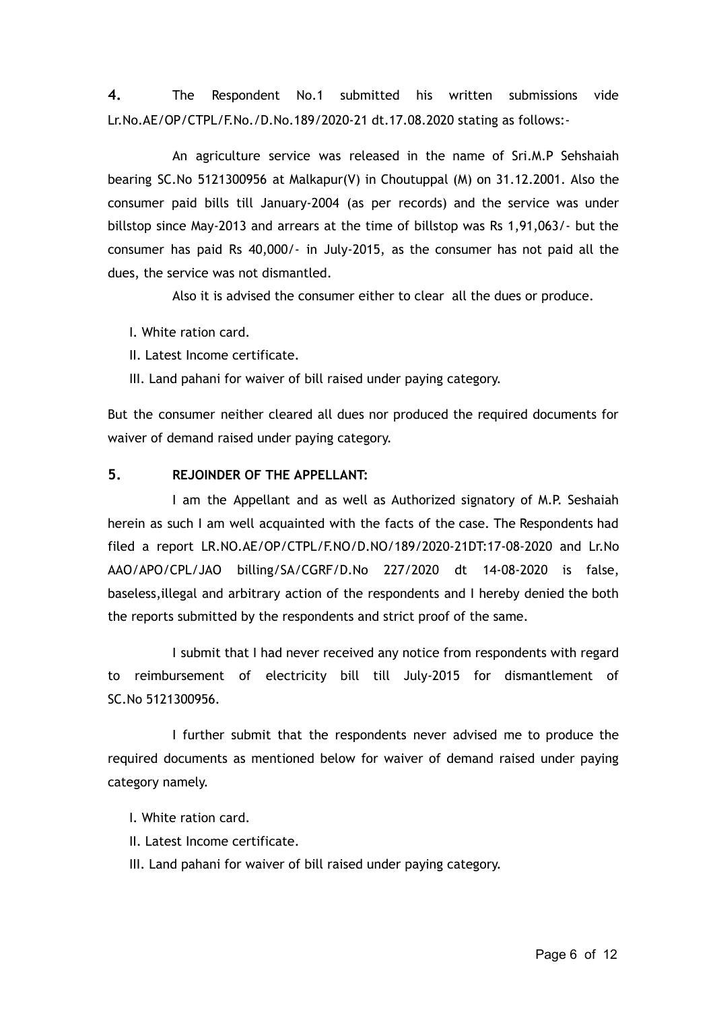**4.** The Respondent No.1 submitted his written submissions vide Lr.No.AE/OP/CTPL/F.No./D.No.189/2020-21 dt.17.08.2020 stating as follows:-

An agriculture service was released in the name of Sri.M.P Sehshaiah bearing SC.No 5121300956 at Malkapur(V) in Choutuppal (M) on 31.12.2001. Also the consumer paid bills till January-2004 (as per records) and the service was under billstop since May-2013 and arrears at the time of billstop was Rs 1,91,063/- but the consumer has paid Rs 40,000/- in July-2015, as the consumer has not paid all the dues, the service was not dismantled.

Also it is advised the consumer either to clear all the dues or produce.

I. White ration card.

II. Latest Income certificate.

III. Land pahani for waiver of bill raised under paying category.

But the consumer neither cleared all dues nor produced the required documents for waiver of demand raised under paying category.

### **5. REJOINDER OF THE APPELLANT:**

I am the Appellant and as well as Authorized signatory of M.P. Seshaiah herein as such I am well acquainted with the facts of the case. The Respondents had filed a report LR.NO.AE/OP/CTPL/F.NO/D.NO/189/2020-21DT:17-08-2020 and Lr.No AAO/APO/CPL/JAO billing/SA/CGRF/D.No 227/2020 dt 14-08-2020 is false, baseless,illegal and arbitrary action of the respondents and I hereby denied the both the reports submitted by the respondents and strict proof of the same.

I submit that I had never received any notice from respondents with regard to reimbursement of electricity bill till July-2015 for dismantlement of SC.No 5121300956.

I further submit that the respondents never advised me to produce the required documents as mentioned below for waiver of demand raised under paying category namely.

I. White ration card.

II. Latest Income certificate.

III. Land pahani for waiver of bill raised under paying category.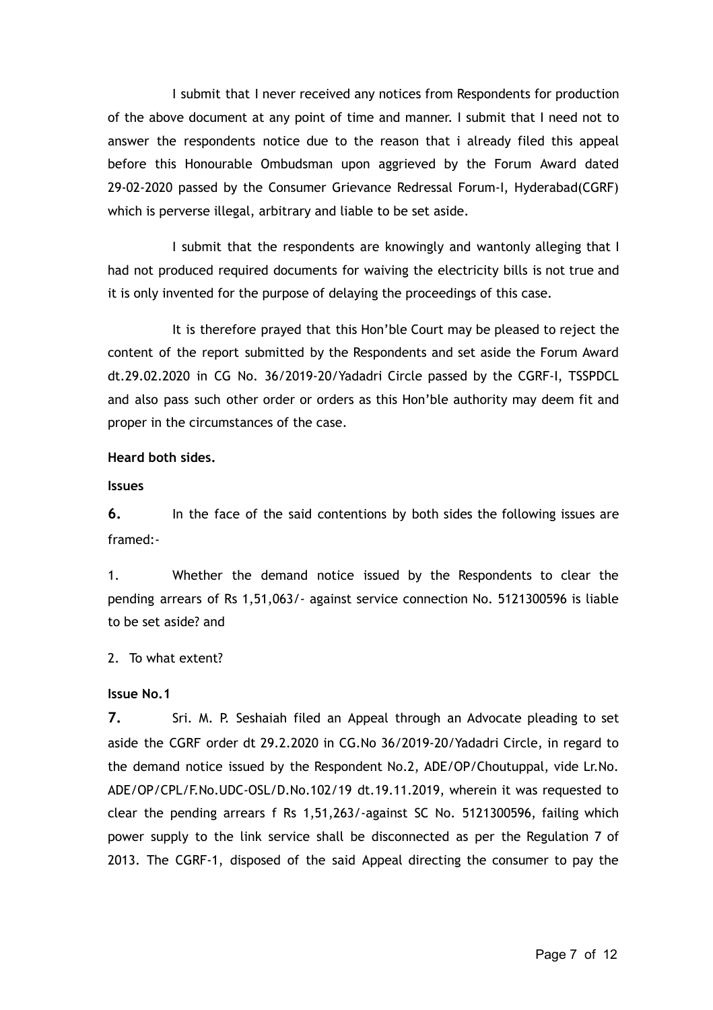I submit that I never received any notices from Respondents for production of the above document at any point of time and manner. I submit that I need not to answer the respondents notice due to the reason that i already filed this appeal before this Honourable Ombudsman upon aggrieved by the Forum Award dated 29-02-2020 passed by the Consumer Grievance Redressal Forum-I, Hyderabad(CGRF) which is perverse illegal, arbitrary and liable to be set aside.

I submit that the respondents are knowingly and wantonly alleging that I had not produced required documents for waiving the electricity bills is not true and it is only invented for the purpose of delaying the proceedings of this case.

It is therefore prayed that this Hon'ble Court may be pleased to reject the content of the report submitted by the Respondents and set aside the Forum Award dt.29.02.2020 in CG No. 36/2019-20/Yadadri Circle passed by the CGRF-I, TSSPDCL and also pass such other order or orders as this Hon'ble authority may deem fit and proper in the circumstances of the case.

#### **Heard both sides.**

**Issues**

**6.** In the face of the said contentions by both sides the following issues are framed:-

1. Whether the demand notice issued by the Respondents to clear the pending arrears of Rs 1,51,063/- against service connection No. 5121300596 is liable to be set aside? and

2. To what extent?

### **Issue No.1**

**7.** Sri. M. P. Seshaiah filed an Appeal through an Advocate pleading to set aside the CGRF order dt 29.2.2020 in CG.No 36/2019-20/Yadadri Circle, in regard to the demand notice issued by the Respondent No.2, ADE/OP/Choutuppal, vide Lr.No. ADE/OP/CPL/F.No.UDC-OSL/D.No.102/19 dt.19.11.2019, wherein it was requested to clear the pending arrears f Rs 1,51,263/-against SC No. 5121300596, failing which power supply to the link service shall be disconnected as per the Regulation 7 of 2013. The CGRF-1, disposed of the said Appeal directing the consumer to pay the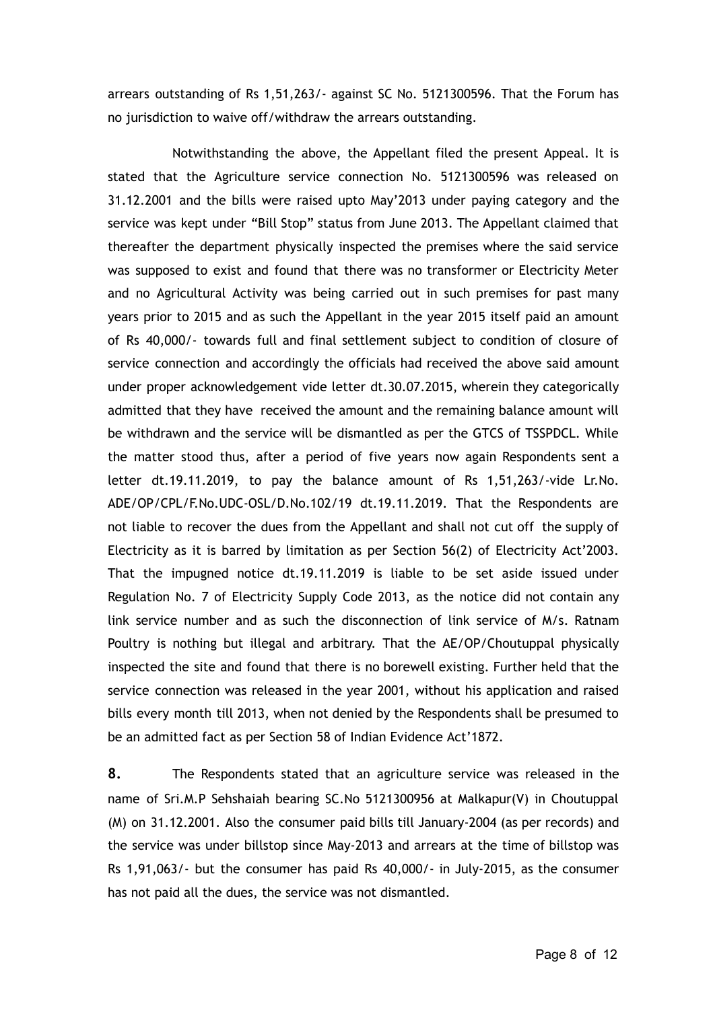arrears outstanding of Rs 1,51,263/- against SC No. 5121300596. That the Forum has no jurisdiction to waive off/withdraw the arrears outstanding.

Notwithstanding the above, the Appellant filed the present Appeal. It is stated that the Agriculture service connection No. 5121300596 was released on 31.12.2001 and the bills were raised upto May'2013 under paying category and the service was kept under "Bill Stop" status from June 2013. The Appellant claimed that thereafter the department physically inspected the premises where the said service was supposed to exist and found that there was no transformer or Electricity Meter and no Agricultural Activity was being carried out in such premises for past many years prior to 2015 and as such the Appellant in the year 2015 itself paid an amount of Rs 40,000/- towards full and final settlement subject to condition of closure of service connection and accordingly the officials had received the above said amount under proper acknowledgement vide letter dt.30.07.2015, wherein they categorically admitted that they have received the amount and the remaining balance amount will be withdrawn and the service will be dismantled as per the GTCS of TSSPDCL. While the matter stood thus, after a period of five years now again Respondents sent a letter dt.19.11.2019, to pay the balance amount of Rs 1,51,263/-vide Lr.No. ADE/OP/CPL/F.No.UDC-OSL/D.No.102/19 dt.19.11.2019. That the Respondents are not liable to recover the dues from the Appellant and shall not cut off the supply of Electricity as it is barred by limitation as per Section 56(2) of Electricity Act'2003. That the impugned notice dt.19.11.2019 is liable to be set aside issued under Regulation No. 7 of Electricity Supply Code 2013, as the notice did not contain any link service number and as such the disconnection of link service of M/s. Ratnam Poultry is nothing but illegal and arbitrary. That the AE/OP/Choutuppal physically inspected the site and found that there is no borewell existing. Further held that the service connection was released in the year 2001, without his application and raised bills every month till 2013, when not denied by the Respondents shall be presumed to be an admitted fact as per Section 58 of Indian Evidence Act'1872.

**8.** The Respondents stated that an agriculture service was released in the name of Sri.M.P Sehshaiah bearing SC.No 5121300956 at Malkapur(V) in Choutuppal (M) on 31.12.2001. Also the consumer paid bills till January-2004 (as per records) and the service was under billstop since May-2013 and arrears at the time of billstop was Rs 1,91,063/- but the consumer has paid Rs 40,000/- in July-2015, as the consumer has not paid all the dues, the service was not dismantled.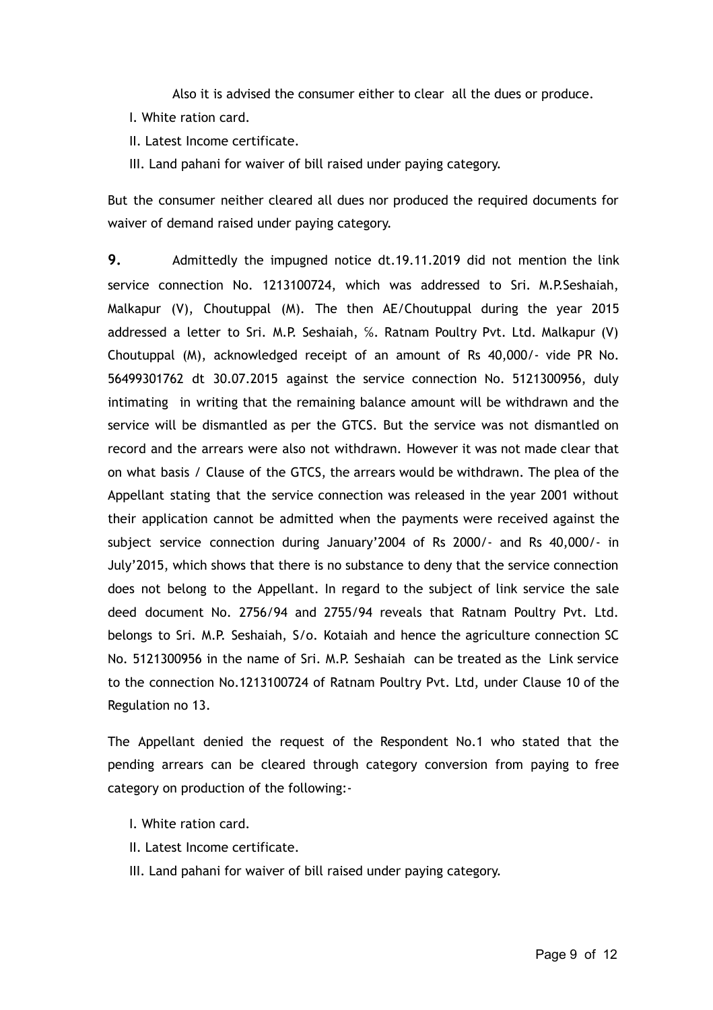Also it is advised the consumer either to clear all the dues or produce.

- I. White ration card.
- II. Latest Income certificate.

III. Land pahani for waiver of bill raised under paying category.

But the consumer neither cleared all dues nor produced the required documents for waiver of demand raised under paying category.

**9.** Admittedly the impugned notice dt.19.11.2019 did not mention the link service connection No. 1213100724, which was addressed to Sri. M.P.Seshaiah, Malkapur (V), Choutuppal (M). The then AE/Choutuppal during the year 2015 addressed a letter to Sri. M.P. Seshaiah, ℅. Ratnam Poultry Pvt. Ltd. Malkapur (V) Choutuppal (M), acknowledged receipt of an amount of Rs 40,000/- vide PR No. 56499301762 dt 30.07.2015 against the service connection No. 5121300956, duly intimating in writing that the remaining balance amount will be withdrawn and the service will be dismantled as per the GTCS. But the service was not dismantled on record and the arrears were also not withdrawn. However it was not made clear that on what basis / Clause of the GTCS, the arrears would be withdrawn. The plea of the Appellant stating that the service connection was released in the year 2001 without their application cannot be admitted when the payments were received against the subject service connection during January'2004 of Rs 2000/- and Rs 40,000/- in July'2015, which shows that there is no substance to deny that the service connection does not belong to the Appellant. In regard to the subject of link service the sale deed document No. 2756/94 and 2755/94 reveals that Ratnam Poultry Pvt. Ltd. belongs to Sri. M.P. Seshaiah, S/o. Kotaiah and hence the agriculture connection SC No. 5121300956 in the name of Sri. M.P. Seshaiah can be treated as the Link service to the connection No.1213100724 of Ratnam Poultry Pvt. Ltd, under Clause 10 of the Regulation no 13.

The Appellant denied the request of the Respondent No.1 who stated that the pending arrears can be cleared through category conversion from paying to free category on production of the following:-

- I. White ration card.
- II. Latest Income certificate.
- III. Land pahani for waiver of bill raised under paying category.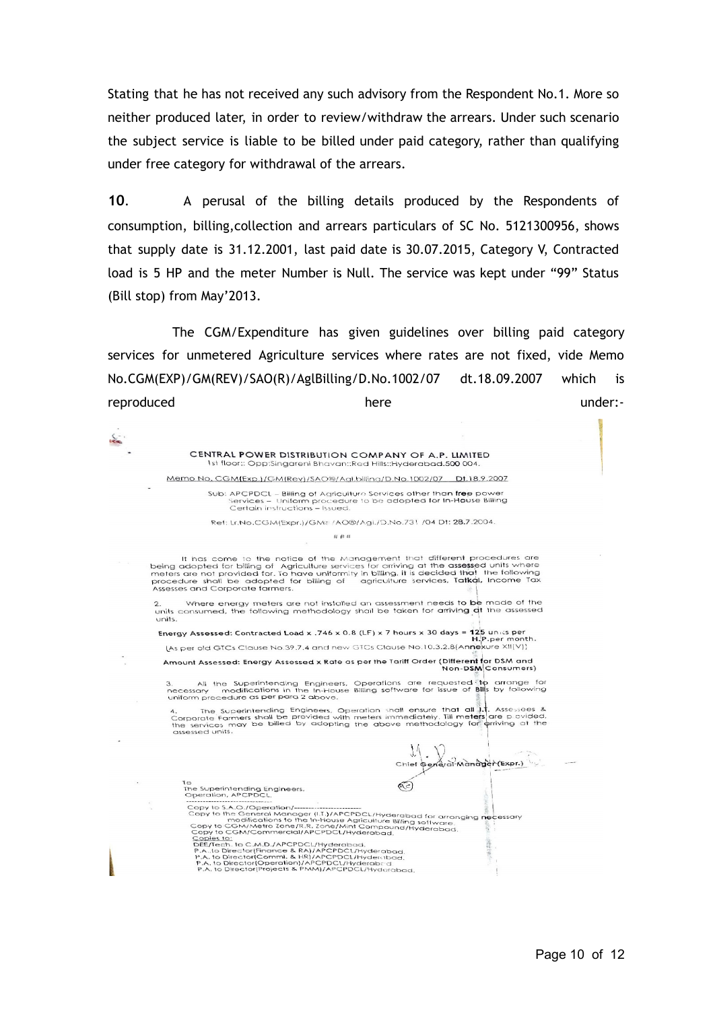Stating that he has not received any such advisory from the Respondent No.1. More so neither produced later, in order to review/withdraw the arrears. Under such scenario the subject service is liable to be billed under paid category, rather than qualifying under free category for withdrawal of the arrears.

**10** . A perusal of the billing details produced by the Respondents of consumption, billing,collection and arrears particulars of SC No. 5121300956, shows that supply date is 31.12.2001, last paid date is 30.07.2015, Category V, Contracted load is 5 HP and the meter Number is Null. The service was kept under "99" Status (Bill stop) from May'2013.

The CGM/Expenditure has given guidelines over billing paid category services for unmetered Agriculture services where rates are not fixed, vide Memo No.CGM(EXP)/GM(REV)/SAO(R)/AglBilling/D.No.1002/07 dt.18.09.2007 which is reproduced here under:-

> CENTRAL POWER DISTRIBUTION COMPANY OF A.P. LIMITED 1st floor:: Opp:Singareni Bhavan::Red Hills::Hyderabad.500 004.

is se

Memo No. CGM(Exp.)/GM(Rev)/SAO®/Agl.billing/D.No.1002/07 Dt.18.9.2007

Sub: APCPDCL - Billing of Agriculture Services other than free power<br>Services - Uniform procedure to be adopted for In-House Billing<br>Certain instructions - Issued.

Ref: Lr.No.CGM(Expr.)/GMF/AO®/Agi./D.No.731 /04 Dt: 28.7.2004.

#### $# # #$

It has come to the notice of the Management that different procedures are<br>being adopted for billing of Agriculture services for arriving at the assessed units where<br>meters are not provided for. To have uniformity in billin

2. Where energy meters are not installed an assessment needs to be made of the<br>units consumed, the following methodology shall be taken for arriving at the assessed

Energy Assessed: Contracted Load x .746 x 0.8 (LF) x 7 hours x 30 days =  $125$  units per<br>H.P.per montl<br>(As per old GTCs Clause No.39.7.4 and new GTCs Clause No.10.3.2.8(Annexure XII(V)) onth.

Amount Assessed: Energy Assessed x Rate as per the Tariff Order (Different for DSM and Non-DSM Consumers)

3. All the Superintending Engineers, Operations are requested to arrange for<br>necessary - modifications in the In-House Billing software for issue of Bills by following<br>uniform procedure as per para 2 above. 3. All the<br>necessary m

Uniform procedure as per pura 2 above.<br>4. The Superintending Engineers, Operation shall ensure that all 1.1. Assesses &<br>Corporate Farmers shall be provided with meters immediately. Till meters are povided.<br>the services may

 $\mathcal{M}$ 

|                                                                                                        | st.                                                                          |
|--------------------------------------------------------------------------------------------------------|------------------------------------------------------------------------------|
|                                                                                                        | Chief General Manager                                                        |
|                                                                                                        |                                                                              |
| $\overline{1}$                                                                                         |                                                                              |
| The Superintending Engineers,                                                                          |                                                                              |
| Operation, APCPDCL.                                                                                    |                                                                              |
|                                                                                                        |                                                                              |
| Copy to S.A.O./Operation/--------------                                                                |                                                                              |
|                                                                                                        |                                                                              |
|                                                                                                        | Copy to the General Manager (I.T.)/APCPDCL/Hyderabad for arranging necessary |
| modifications to the In-House Agriculture Billing software.                                            |                                                                              |
| Copy to CGM/Metro Zone/R.R. Zone/Mint Compound/Hyderabad.<br>Copy to CGM/Commercial/APCPDCL/Hyderabad. |                                                                              |
| Copies to:                                                                                             |                                                                              |
| DEE/Tech. to C.M.D./APCPDCL/Hyderabad.                                                                 |                                                                              |
| P.A., to Director(Finance & RA)/APCPDCL/Hyderabad.                                                     |                                                                              |
| P.A. to Director(Comml. & HR)/APCPDCL/Hyderabad                                                        |                                                                              |
| P.A. to Director(Operation)/APCPDCL/Hyderabord<br>P.A. to Director(Projects & PMM)/APCPDCL/Hyderabad.  |                                                                              |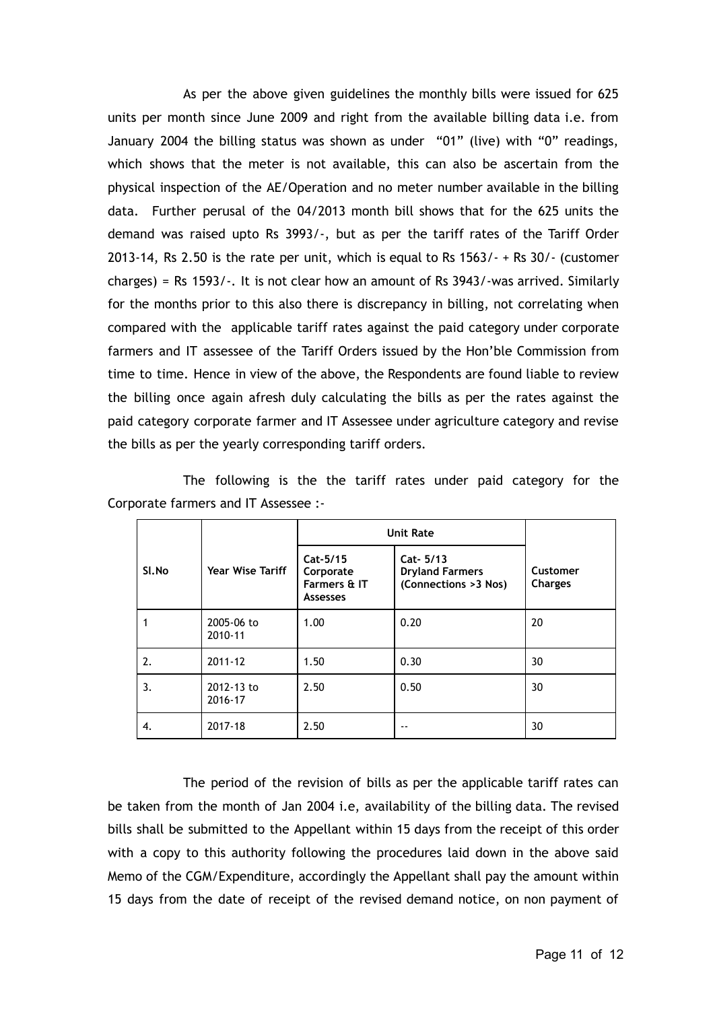As per the above given guidelines the monthly bills were issued for 625 units per month since June 2009 and right from the available billing data i.e. from January 2004 the billing status was shown as under "01" (live) with "0" readings, which shows that the meter is not available, this can also be ascertain from the physical inspection of the AE/Operation and no meter number available in the billing data. Further perusal of the 04/2013 month bill shows that for the 625 units the demand was raised upto Rs 3993/-, but as per the tariff rates of the Tariff Order 2013-14, Rs 2.50 is the rate per unit, which is equal to Rs 1563/- + Rs 30/- (customer charges) = Rs 1593/-. It is not clear how an amount of Rs 3943/-was arrived. Similarly for the months prior to this also there is discrepancy in billing, not correlating when compared with the applicable tariff rates against the paid category under corporate farmers and IT assessee of the Tariff Orders issued by the Hon'ble Commission from time to time. Hence in view of the above, the Respondents are found liable to review the billing once again afresh duly calculating the bills as per the rates against the paid category corporate farmer and IT Assessee under agriculture category and revise the bills as per the yearly corresponding tariff orders.

|                                      | The following is the the tariff rates under paid category for the |  |  |  |  |  |
|--------------------------------------|-------------------------------------------------------------------|--|--|--|--|--|
| Corporate farmers and IT Assessee :- |                                                                   |  |  |  |  |  |

|       |                         | <b>Unit Rate</b>                                         |                                                             |                            |
|-------|-------------------------|----------------------------------------------------------|-------------------------------------------------------------|----------------------------|
| Sl.No | <b>Year Wise Tariff</b> | Cat-5/15<br>Corporate<br>Farmers & IT<br><b>Assesses</b> | Cat- 5/13<br><b>Dryland Farmers</b><br>(Connections >3 Nos) | Customer<br><b>Charges</b> |
|       | 2005-06 to<br>2010-11   | 1.00                                                     | 0.20                                                        | 20                         |
| 2.    | 2011-12                 | 1.50                                                     | 0.30                                                        | 30                         |
| 3.    | 2012-13 to<br>2016-17   | 2.50                                                     | 0.50                                                        | 30                         |
| 4.    | 2017-18                 | 2.50                                                     | $- -$                                                       | 30                         |

The period of the revision of bills as per the applicable tariff rates can be taken from the month of Jan 2004 i.e, availability of the billing data. The revised bills shall be submitted to the Appellant within 15 days from the receipt of this order with a copy to this authority following the procedures laid down in the above said Memo of the CGM/Expenditure, accordingly the Appellant shall pay the amount within 15 days from the date of receipt of the revised demand notice, on non payment of